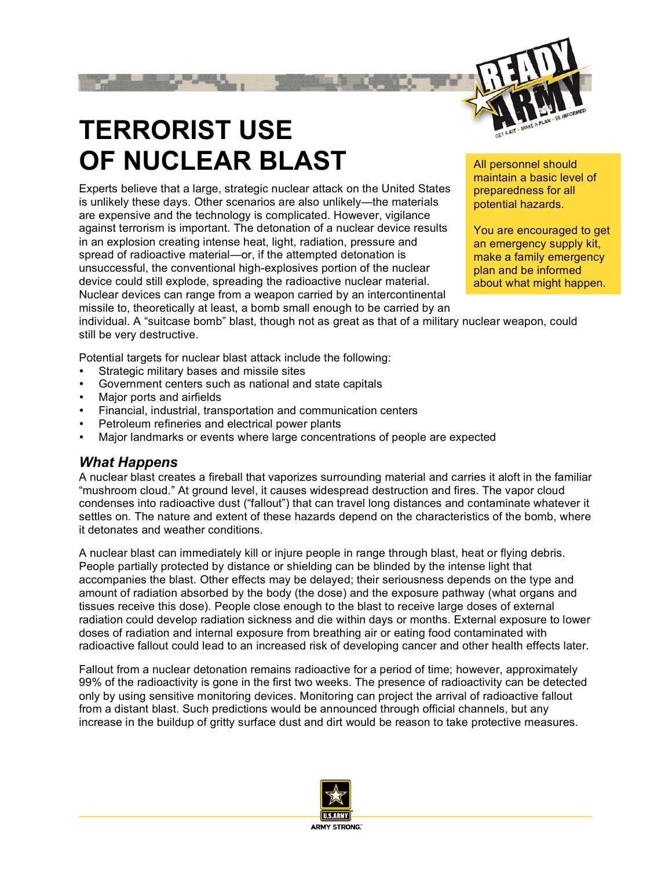

# **TERRORIST USE OF NUCLEAR BLAST**

Experts believe that a large, strategic nuclear attack on the United States is unlikely these days. Other scenarios are also unlikely—the materials are expensive and the technology is complicated. However, vigilance against terrorism is important. The detonation of a nuclear device results in an explosion creating intense heat, light, radiation, pressure and spread of radioactive material—or, if the attempted detonation is unsuccessful, the conventional high-explosives portion of the nuclear device could still explode, spreading the radioactive nuclear material. Nuclear devices can range from a weapon carried by an intercontinental missile to, theoretically at least, a bomb small enough to be carried by an

All personnel should maintain a basic level of preparedness for all potential hazards.

You are encouraged to get an emergency supply kit, make a family emergency plan and be informed about what might happen.

individual. A "suitcase bomb" blast, though not as great as that of a military nuclear weapon, could still be very destructive.

Potential targets for nuclear blast attack include the following:

- Strategic military bases and missile sites
- Government centers such as national and state capitals
- Major ports and airfields
- Financial, industrial, transportation and communication centers
- Petroleum refineries and electrical power plants
- Major landmarks or events where large concentrations of people are expected

#### *What Happens*

A nuclear blast creates a fireball that vaporizes surrounding material and carries it aloft in the familiar "mushroom cloud." At ground level, it causes widespread destruction and fires. The vapor cloud condenses into radioactive dust ("fallout") that can travel long distances and contaminate whatever it settles on. The nature and extent of these hazards depend on the characteristics of the bomb, where it detonates and weather conditions.

A nuclear blast can immediately kill or injure people in range through blast, heat or flying debris. People partially protected by distance or shielding can be blinded by the intense light that accompanies the blast. Other effects may be delayed; their seriousness depends on the type and amount of radiation absorbed by the body (the dose) and the exposure pathway (what organs and tissues receive this dose). People close enough to the blast to receive large doses of external radiation could develop radiation sickness and die within days or months. External exposure to lower doses of radiation and internal exposure from breathing air or eating food contaminated with radioactive fallout could lead to an increased risk of developing cancer and other health effects later.

Fallout from a nuclear detonation remains radioactive for a period of time; however, approximately 99% of the radioactivity is gone in the first two weeks. The presence of radioactivity can be detected only by using sensitive monitoring devices. Monitoring can project the arrival of radioactive fallout from a distant blast. Such predictions would be announced through official channels, but any increase in the buildup of gritty surface dust and dirt would be reason to take protective measures.